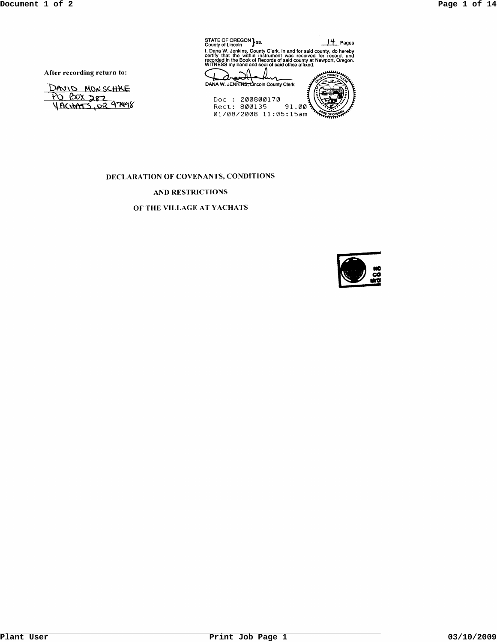| STATE OF OREGON 3s.<br>County of Lincoln                                                                                                                                                                                                                      | t Pages |
|---------------------------------------------------------------------------------------------------------------------------------------------------------------------------------------------------------------------------------------------------------------|---------|
| I, Dana W. Jenkins, County Clerk, in and for said county, do hereby certify that the within instrument was received for record, and<br>recorded in the Book of Records of said county at Newport, Oregon.<br>WITNESS my hand and seal of said office affixed. |         |
|                                                                                                                                                                                                                                                               |         |
| DANA W. JENKINS, Lincoln County Clerk                                                                                                                                                                                                                         |         |
| Doc + 200800170                                                                                                                                                                                                                                               |         |

Doc: 200800170<br>Rect: 800135 91.00<br>01/08/2008 11:05:15am

After recording return to:

DAVID MONSCHKE <u>PO BOX 282</u>

## DECLARATION OF COVENANTS, CONDITIONS

# AND RESTRICTIONS

## OF THE VILLAGE AT YACHATS

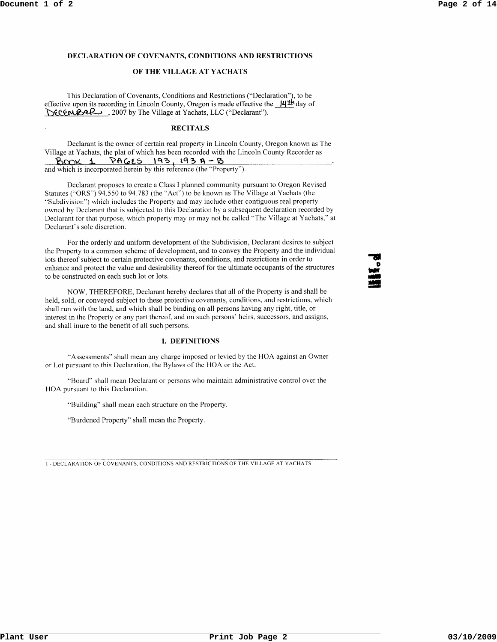### **DECLARATION OF COVENANTS, CONDITIONS AND RESTRICTIONS**

## **OF THE VILLAGE AT YACHATS**

This Declaration of Covenants, Conditions and Restrictions ("Declaration"), to be effective upon its recording in Lincoln County, Oregon is made effective the **ILf'l:!\** day of DECEMBER , 2007 by The Village at Yachats, LLC ("Declarant").

#### **RECITALS**

Declarant is the owner of certain real property in Lincoln County, Oregon known as The Village at Yachats, the plat of which has been recorded with the Lincoln County Recorder as  $B$ COX 1 PAGES 193, 193 A-B and which is incorporated herein by this reference (the "Property").

Declarant proposes to create a Class I planned community pursuant to Oregon Revised Statutes ("ORS") 94.550 to 94.783 (the "Act") to be known as The Village at Yachats (the "Subdivision") which includes the Property and may include other contiguous real property owned by Declarant that is subjected to this Declaration by a subsequent declaration recorded by Declarant for that purpose, which property may or may not be called "The Village at Yachats," at Declarant's sole discretion.

For the orderly and uniform development of the Subdivision, Declarant desires to subject the Property to a common scheme of development, and to convey the Property and the individual lots thereof subject to certain protective covenants, conditions, and restrictions in order to enhance and protect the value and desirability thereof for the ultimate occupants of the structures to be constructed on each such lot or lots.

NOW, THEREFORE, Declarant hereby declares that all of the Property is and shall be held, sold, or conveyed subject to these protective covenants, conditions, and restrictions, which shall run with the land, and which shall be binding on all persons having any right, title, or interest in the Property or any part thereof, and on such persons' heirs, successors, and assigns, and shall inure to the benefit of all such persons.

### **I. DEFINITIONS**

"Assessments" shall mean any charge imposed or levied by the BOA against an Owner or Lot pursuant to this Declaration, the Bylaws of the HOA or the Act.

"Board" shall mean Declarant or persons who maintain administrative control over the HOA pursuant to this Declaration.

"Building" shall mean each structure on the Property.

"Burdened Property" shall mean the Property.

I - DECLARATION OF COVENANTS, CONDITIONS AND RESTRICTIONS OF THE VILLAGE AT YACHATS

... D .. 0<br>الألاد<br>الألاد **149**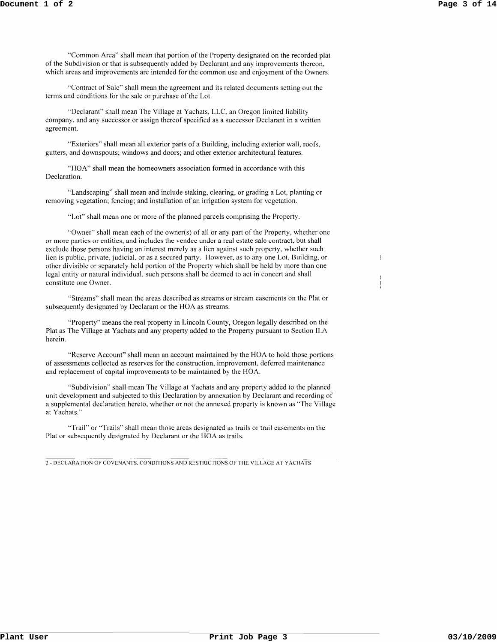$\mathbb{I}$ 

"Common Area" shall mean that portion of the Property designated on the recorded plat of the Subdivision or that is subsequently added by Declarant and any improvements thereon, which areas and improvements are intended for the common use and enjoyment of the Owners.

"Contract of Sale" shall mean the agreement and its related documents setting out the terms and conditions for the sale or purchase of the Lot.

"Declaranf' shall mean The Village at Yachats, LLC, an Oregon limited liability company, and any successor or assign thereof specified as a successor Declarant in a written agreement.

"Exteriors" shall mean all exterior parts of a Building, including exterior wall, roofs, gutters, and downspouts; windows and doors; and other exterior architectural features.

"HOA" shall mean the homeowners association formed in accordance with this Declaration.

"Landscaping" shall mean and include staking, clearing, or grading a Lot, planting or removing vegetation; fencing; and installation of an irrigation system for vegetation.

"Lot" shall mean one or more of the planned parcels comprising the Property.

"Owner" shall mean each of the owner(s) of all or any part of the Property, whether one or more parties or entities, and includes the vendee under a real estate sale contract, but shall exclude those persons having an interest merely as a lien against such property, whether such lien is public, private, judicial, or as a secured party. However, as to any one Lot, Building, or other divisible or separately held portion of the Property which shall be held by more than one legal entity or natural individual, such persons shall be deemed to act in concert and shall constitute one Owner.

"Streams" shall mean the areas described as streams or stream easements on the Plat or subsequently designated by Declarant or the HOA as streams.

"Property" means the real property in Lincoln County, Oregon legally described on the Plat as The Village at Yachats and any property added to the Property pursuant to Section ILA herein.

"Reserve Account" shall mean an account maintained by the HOA to hold those portions of assessments collected as reserves for the construction, improvement, deferred maintenance and replacement of capital improvements to be maintained by the HOA.

"Subdivision" shall mean The Village at Yachats and any property added to the planned unit development and subjected to this Declaration by annexation by Declarant and recording of a supplemental declaration hereto, whether or not the annexed property is known as "The Village at Yachats."

"Trail" or "Trails" shall mean those areas designated as trails or trail easements on the Plat or subsequently designated by Declarant or the HOA as trails.

2 - DECLARATION OF COVENANTS. CONDITIONS AND RESTRICTIONS OF THE VILLAGE AT YACHATS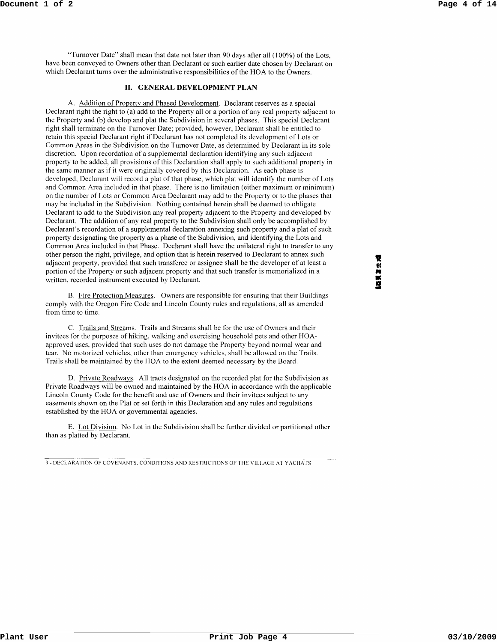"Turnover Date" shall mean that date not later than 90 days after all (100%) of the Lots, have been conveyed to Owners other than Declarant or such earlier date chosen by Declarant on which Declarant turns over the administrative responsibilities of the HOA to the Owners.

## **II. GENERAL DEVELOPMENT PLAN**

A. Addition of Property and Phased Development. Declarant reserves as a special Declarant right the right to (a) add to the Property all or a portion of any real property adjacent to the Property and (b) develop and plat the Subdivision in several phases. This special Declarant right shall terminate on the Turnover Date; provided, however, Declarant shall be entitled to retain this special Declarant right if Declarant has not completed its development of Lots or Common Areas in the Subdivision on the Turnover Date, as determined by Declarant in its sole discretion. Upon recordation of a supplemental declaration identifying any such adjacent property to be added, all provisions of this Declaration shall apply to such additional property in the same manner as if it were originally covered by this Declaration. As each phase is developed, Declarant will record a plat of that phase, which plat will identify the number of Lots and Common Area included in that phase. There is no limitation (either maximum or minimum) on the number of Lots or Common Area Declarant may add to the Property or to the phases that may be included in the Subdivision. Nothing contained herein shall be deemed to obligate Declarant to add to the Subdivision any real property adjacent to the Property and developed by Declarant. The addition of any real property to the Subdivision shall only be accomplished by Declarant's recordation of a supplemental declaration annexing such property and a plat of such property designating the property as a phase of the Subdivision, and identifying the Lots and Common Area included in that Phase. Declarant shall have the unilateral right to transfer to any other person the right, privilege, and option that is herein reserved to Declarant to annex such adjacent property, provided that such transferee or assignee shall be the developer of at least a portion of the Property or such adjacent property and that such transfer is memorialized in a written, recorded instrument executed by Declarant.

B. Fire Protection Measures. Owners are responsible for ensuring that their Buildings comply with the Oregon Fire Code and Lincoln County rules and regulations, all as amended from time to time.

C. Trails and Streams. Trails and Streams shall be for the use of Owners and their invitees for the purposes of hiking, walking and exercising household pets and other HOAapproved uses, provided that such uses do not damage the Property beyond normal wear and tear. No motorized vehicles, other than emergency vehicles, shall be allowed on the Trails. Trails shall be maintained by the HOA to the extent deemed necessary by the Board.

D. Private Roadways. All tracts designated on the recorded plat for the Subdivision as Private Roadways will be owned and maintained by the HOA in accordance with the applicable Lincoln County Code for the benefit and use of Owners and their invitees subject to any easements shown on the Plat or set forth in this Declaration and any rules and regulations established by the HOA or governmental agencies.

E. Lot Division. No Lot in the Subdivision shall be further divided or partitioned other than as platted by Declarant.

3 - DECLARATION OF COVENANTS. CONDITIONS AND RESTRICTIONS OF THE VILLAGE AT YACHATS

**THE REAL OF**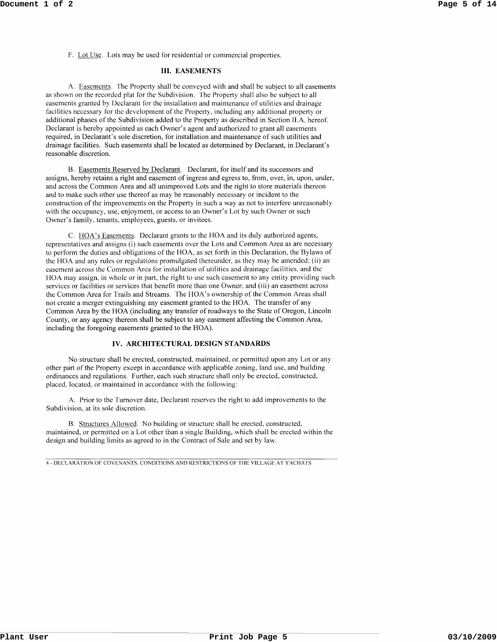F. Lot Use. Lots may be used for residential or commercial properties.

### **III. EASEMENTS**

A. Easements. The Property shall be conveyed with and shall be subject to all easements as shown on the recorded plat for the Subdivision. The Property shall also be subject to all easements granted by Declarant for the installation and maintenance of utilities and drainage facilities necessary for the development of the Property, including any additional property or additional phases of the Subdivision added to the Property as described in Section II.A, hereof. Declarant is hereby appointed as each Owner's agent and authorized to grant all easements required, in Declarant's sole discretion, for installation and maintenance of such utilities and drainage facilities. Such easements shall be located as determined by Declarant, in Declarant's reasonable discretion.

B. Easements Reserved by Declarant. Declarant, for itself and its successors and assigns, hereby retains a right and easement of ingress and egress to, from, over, in, upon, under, and across the Common Area and all unimproved Lots and the right to store materials thereon and to make such other use thereof as may be reasonably necessary or incident to the construction of the improvements on the Property in such a way as not to interfere unreasonably with the occupancy, use, enjoyment, or access to an Owner's Lot by such Owner or such Owner's family, tenants, employees, guests, or invitees.

C. HOA's Easements. Declarant grants to the HOA and its duly authorized agents, representatives and assigns (i) such easements over the Lots and Common Area as are necessary to perform the duties and obligations of the HOA, as set forth in this Declaration, the Bylaws of the HOA and any rules or regulations promulgated thereunder, as they may be amended; (ii) an easement across the Common Area for installation of utilities and drainage facilities, and the HOA may assign, in whole or in part, the right to use such easement to any entity providing such services or facilities or services that benefit more than one Owner; and (iii) an easement across the Common Area for Trails and Streams. The HOA's ownership of the Common Areas shall not create a merger extinguishing any easement granted to the HOA. The transfer of any Common Area by the HOA (including any transfer of roadways to the State of Oregon, Lincoln County, or any agency thereon shall be subject to any easement affecting the Common Area, including the foregoing easements granted to the HOA).

## **IV. ARCHITECTURAL DESIGN STANDARDS**

No structure shall be erected, constructed, maintained, or permitted upon any Lot or any other part of the Property except in accordance with applicable zoning, land use, and building ordinances and regulations. Further, each such structure shall only be erected, constructed, placed, located, or maintained in accordance with the following:

A. Prior to the Turnover date, Declarant reserves the right to add improvements to the Subdivision, at its sole discretion.

B. Structures Allowed. No building or structure shall be erected, constructed, maintained, or permitted on a Lot other than a single Building, which shall be erected within the design and building limits as agreed to in the Contract of Sale and set by law.

4 - DECLARATION OF COVENANTS. CONDITIONS AND RESTRICTIONS OF THE VILLAGE AT YACHATS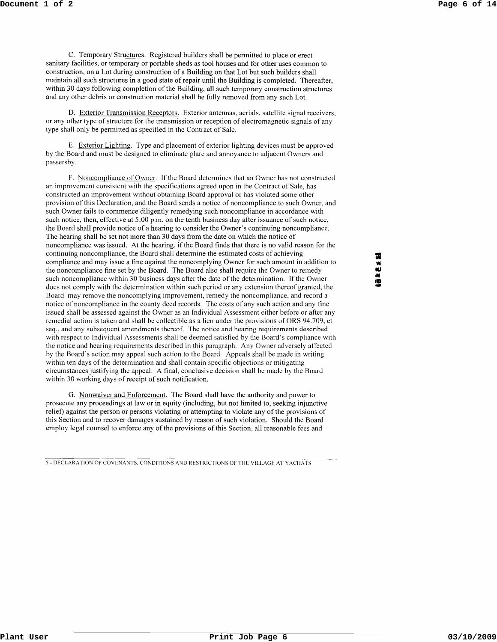C. Temporary Structures. Registered builders shall be permitted to place or erect sanitary facilities, or temporary or portable sheds as tool houses and for other uses common to construction, on a Lot during construction of a Building on that Lot but such builders shall maintain all such structures in a good state of repair until the Building is completed. Thereafter, within 30 days following completion of the Building, all such temporary construction structures and any other debris or construction material shall be fully removed from any such Lot.

D. Exterior Transmission Receptors. Exterior antennas, aerials, satellite signal receivers, or any other type of structure for the transmission or reception of electromagnetic signals of any type shall only be permitted as specified in the Contract of Sale.

E. Exterior Lighting. Type and placement of exterior lighting devices must be approved by the Board and must be designed to eliminate glare and annoyance to adjacent Owners and passersby.

F. Noncompliance of Owner. If the Board determines that an Owner has not constructed an improvement consistent with the specifications agreed upon in the Contract of Sale, has constructed an improvement without obtaining Board approval or has violated some other provision of this Declaration, and the Board sends a notice of noncompliance to such Owner, and such Owner fails to commence diligently remedying such noncompliance in accordance with such notice, then, effective at 5:00 p.m. on the tenth business day after issuance of such notice, the Board shall provide notice of a hearing to consider the Owner's continuing noncompliance. The hearing shall be set not more than 30 days from the date on which the notice of noncompliance was issued. At the hearing, if the Board finds that there is no valid reason for the continuing noncompliance, the Board shall determine the estimated costs of achieving compliance and may issue a fine against the noncomplying Owner for such amount in addition to the noncompliance fine set by the Board. The Board also shall require the Owner to remedy such noncompliance within 30 business days after the date of the determination. If the Owner does not comply with the determination within such period or any extension thereof granted, the Board may remove the noncomplying improvement, remedy the noncompliance, and record a notice of noncompliance in the county deed records. The costs of any such action and any tine issued shall be assessed against the Owner as an Individual Assessment either before or after any remedial action is taken and shall be collectible as a lien under the provisions of ORS 94.709, et seq., and any subsequent amendments thereof. The notice and hearing requirements described with respect to Individual Assessments shall be deemed satisfied by the Board's compliance with the notice and hearing requirements described in this paragraph. Any Owner adversely affected by the Board's action may appeal such action to the Board. Appeals shall be made in writing within ten days of the determination and shall contain specific objections or mitigating circumstances justifying the appeal. A final, conclusive decision shall be made by the Board within 30 working days of receipt of such notification.

G. Nonwaiver and Enforcement. The Board shall have the authority and power to prosecute any proceedings at law or in equity (including, but not limited to, seeking injunctive relief) against the person or persons violating or attempting to violate any of the provisions of this Section and to recover damages sustained by reason of such violation. Should the Board employ legal counsel to enforce any of the provisions of this Section, all reasonable fees and

5 - DECLARATION OF COVENANTS, CONDITIONS AND RESTRICTIONS OF THE VILLAGE AT YACHATS

व्य  $\mathbf{B} \leq \mathbf{S}$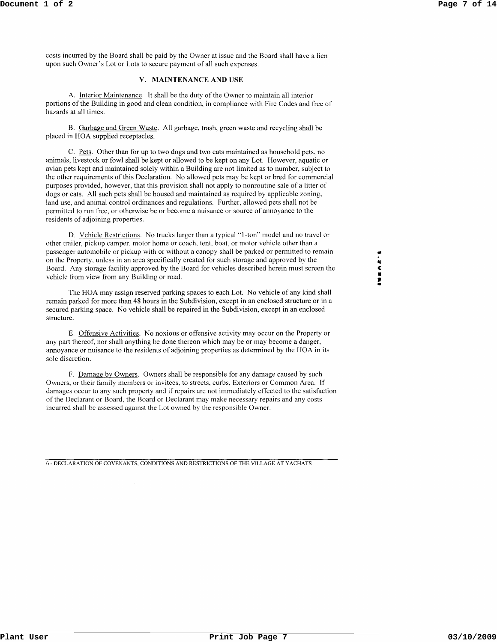costs incurred by the Board shall be paid by the Owner at issue and the Board shall have a lien upon such Owner's Lot or Lots to secure payment of all such expenses.

## v. MAINTENANCE AND USE

A. Interior Maintenance. It shall be the duty of the Owner to maintain all interior portions of the Building in good and clean condition, in compliance with Fire Codes and free of hazards at all times.

B. Garbage and Green Waste. All garbage, trash, green waste and recycling shall be placed in HOA supplied receptacles.

C. Pets. Other than for up to two dogs and two cats maintained as household pets, no animals, livestock or fowl shall be kept or allowed to be kept on any Lot. However, aquatic or avian pets kept and maintained solely within a Building are not limited as to number, subject to the other requirements of this Declaration. No allowed pets may be kept or bred for commercial purposes provided, however, that this provision shall not apply to nonroutine sale of a litter of dogs or cats. All such pets shall be housed and maintained as required by applicable zoning, land use, and animal control ordinances and regulations. Further, allowed pets shall not be permitted to run free, or otherwise be or become a nuisance or source of annoyance to the residents of adjoining properties.

D. Vehicle Restrictions. No trucks larger than a typical "I-ton" model and no travel or other trailer, pickup camper, motor home or coach, tent, boat, or motor vehicle other than a passenger automobile or pickup with or without a canopy shall be parked or permitted to remain on the Property, unless in an area specifically created for such storage and approved by the Board. Any storage facility approved by the Board for vehicles described herein must screen the vehicle from view from any Building or road.

The HOA may assign reserved parking spaces to each Lot. No vehicle of any kind shall remain parked for more than 48 hours in the Subdivision, except in an enclosed structure or in a secured parking space. No vehicle shall be repaired in the Subdivision, except in an enclosed structure.

E. Offensive Activities. No noxious or offensive activity may occur on the Property or any part thereof, nor shall anything be done thereon which may be or may become a danger, annoyance or nuisance to the residents of adjoining properties as determined by the HOA in its sole discretion.

F. Damage by Owners. Owners shall be responsible for any damage caused by such Owners, or their family members or invitees, to streets, curbs, Exteriors or Common Area. If damages occur to any such property and if repairs are not immediately effected to the satisfaction of the Declarant or Board, the Board or Declarant may make necessary repairs and any costs incurred shall be assessed against the Lot owned by the responsible Owner.

6 - DECLARATION OF COVENANTS, CONDITIONS AND RESTRICTIONS OF THE VILLAGE AT YACHATS

• " C N 7"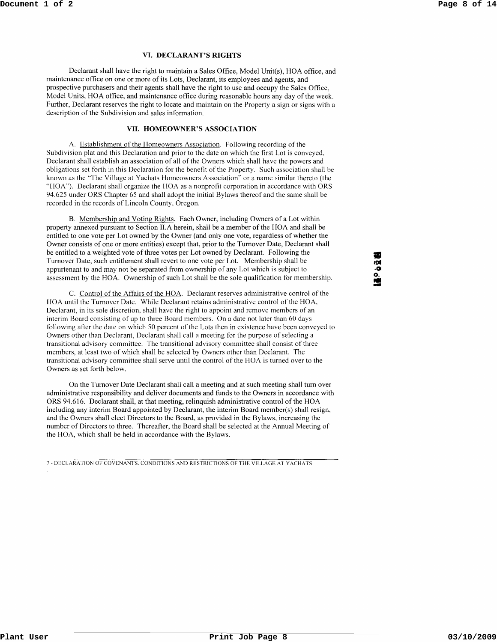#### **VI. DECLARANT'S RIGHTS**

Declarant shall have the right to maintain a Sales Office, Model Unit(s), HOA office, and maintenance office on one or more of its Lots, Declarant, its employees and agents, and prospective purchasers and their agents shall have the right to use and occupy the Sales Office, Model Units, HOA office, and maintenance office during reasonable hours any day of the week. Further, Declarant reserves the right to locate and maintain on the Property a sign or signs with a description of the Subdivision and sales information.

## **VII. HOMEOWNER'S ASSOCIATION**

A. Establishment of the Homeowners Association. Following recording of the Subdivision plat and this Declaration and prior to the date on which the first Lot is conveyed, Declarant shall establish an association of all of the Owners which shall have the powers and obligations set forth in this Declaration for the benefit of the Property. Such association shall be known as the "The Village at Yachats Homeowners Association" or a name similar thereto (the "HOA"). Declarant shall organize the HOA as a nonprofit corporation in accordance with ORS 94.625 under ORS Chapter 65 and shall adopt the initial Bylaws thereof and the same shall be recorded in the records of Lincoln County, Oregon.

B. Membership and Voting Rights. Each Owner, including Owners of a Lot within property annexed pursuant to Section II.A herein, shall be a member of the HOA and shall be entitled to one vote per Lot owned by the Owner (and only one vote, regardless of whether the Owner consists of one or more entities) except that, prior to the Turnover Date, Declarant shall be entitled to a weighted vote of three votes per Lot owned by Declarant. Following the Turnover Date, such entitlement shall revert to one vote per Lot. Membership shall be appurtenant to and may not be separated from ownership of any Lot which is subject to assessment by the HOA. Ownership of such Lot shall be the sole qualification for membership.

C. Control of the Affairs of the HOA. Declarant reserves administrative control of the HOA until the Turnover Date. While Declarant retains administrative control of the HOA, Declarant, in its sole discretion, shall have the right to appoint and remove members of an interim Board consisting of up to three Board members. On a date not later than 60 days following after the date on which 50 percent of the Lots then in existence have been conveyed to Owners other than Declarant, Declarant shall call a meeting for the purpose of selecting a transitional advisory committee. The transitional advisory committee shall consist of three members, at least two of which shall be selected by Owners other than Declarant. The transitional advisory committee shall serve until the control of the HOA is turned over to the Owners as set forth below.

On the Turnover Date Declarant shall call a meeting and at such meeting shall tum over administrative responsibility and deliver documents and funds to the Owners in accordance with ORS 94.616. Declarant shall, at that meeting, relinquish administrative control of the HOA including any interim Board appointed by Declarant, the interim Board member(s) shall resign, and the Owners shall elect Directors to the Board, as provided in the Bylaws, increasing the number of Directors to three. Thereafter, the Board shall be selected at the Annual Meeting of the HOA, which shall be held in accordance with the Bylaws.

7 - DECLARATION OF COVENANTS. CONDITIONS AND RESTRICTIONS OF TilE VILLAGE AT YACHATS

• mil **·01 o.**  .. -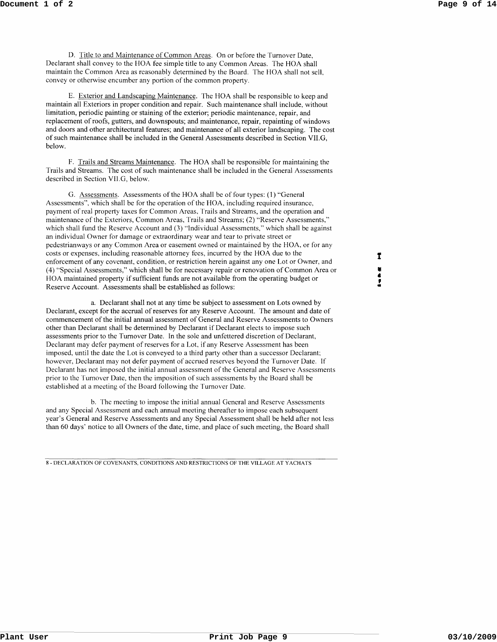D. Title to and Maintenance of Common Areas. On or before the Turnover Date, Declarant shall convey to the HOA fee simple title to any Common Areas. The HOA shall maintain the Common Area as reasonably determined by the Board. The HOA shall not sell, convey or otherwise encumber any portion of the common property.

E. Exterior and Landscaping Maintenance. The HOA shall be responsible to keep and maintain all Exteriors in proper condition and repair. Such maintenance shall include, without limitation, periodic painting or staining of the exterior; periodic maintenance, repair, and replacement of roofs, gutters, and downspouts; and maintenance, repair, repainting of windows and doors and other architectural features; and maintenance of all exterior landscaping. The cost of such maintenance shall be included in the General Assessments described in Section VII.G, below.

F. Trails and Streams Maintenance. The HOA shall be responsible for maintaining the Trails and Streams. The cost of such maintenance shall be included in the General Assessments described in Section VII.G, below.

G. Assessments. Assessments of the HOA shall be of four types: (1) "General Assessments", which shall be for the operation of the HOA, including required insurance, payment of real property taxes for Common Areas, Trails and Streams, and the operation and maintenance of the Exteriors, Common Areas, Trails and Streams; (2) "Reserve Assessments," which shall fund the Reserve Account and (3) "Individual Assessments," which shall be against an individual Owner for damage or extraordinary wear and tear to private street or pedestrianways or any Common Area or easement owned or maintained by the HOA, or for any costs or expenses, including reasonable attorney fees, incurred by the HOA due to the enforcement of any covenant, condition, or restriction herein against anyone Lot or Owner, and (4) "Special Assessments," which shall be for necessary repair or renovation of Common Area or HOA maintained property if sufficient funds are not available from the operating budget or Reserve Account. Assessments shall be established as follows:

a. Declarant shall not at any time be subject to assessment on Lots owned by Declarant, except for the accrual of reserves for any Reserve Account. The amount and date of commencement of the initial annual assessment of General and Reserve Assessments to Owners other than Declarant shall be determined by Declarant if Declarant elects to impose such assessments prior to the Turnover Date. In the sole and unfettered discretion of Declarant, Declarant may defer payment of reserves for a Lot, if any Reserve Assessment has been imposed, until the date the Lot is conveyed to a third party other than a successor Declarant; however, Declarant may not defer payment of accrued reserves beyond the Turnover Date. If Declarant has not imposed the initial annual assessment of the General and Reserve Assessments prior to the Turnover Date, then the imposition of such assessments by the Board shall be established at a meeting of the Board following the Turnover Date.

b. The meeting to impose the initial annual General and Reserve Assessments and any Special Assessment and each annual meeting thereafter to impose each subsequent year's General and Reserve Assessments and any Special Assessment shall be held after not less than 60 days' notice to all Owners of the date, time, and place of such meeting, the Board shall

8 - DECLARATION OF COVENANTS, CONDITIONS AND RESTRICTIONS OF THE VILLAGE AT Y ACHA TS

 $\mathbf{r}$ • • , •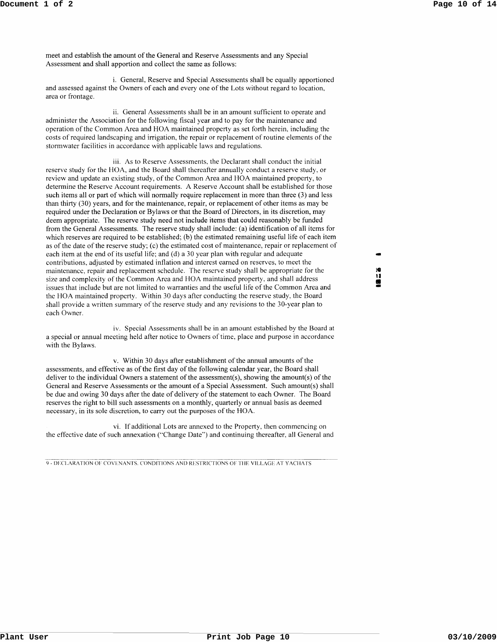meet and establish the amount of the General and Reserve Assessments and any Special Assessment and shall apportion and collect the same as follows:

i. General, Reserve and Special Assessments shall be equally apportioned and assessed against the Owners of each and everyone of the Lots without regard to location, area or frontage.

ii. General Assessments shall be in an amount sufficient to operate and administer the Association for the following fiscal year and to pay for the maintenance and operation of the Common Area and HOA maintained property as set forth herein, including the costs of required landscaping and irrigation, the repair or replacement of routine elements of the stormwater facilities in accordance with applicable laws and regulations.

iii. As to Reserve Assessments, the Declarant shall conduct the initial reserve study for the HOA, and the Board shall thereafter annually conduct a reserve study, or review and update an existing study, of the Common Area and HOA maintained property, to determine the Reserve Account requirements. A Reserve Account shall be established for those such items all or part of which will normally require replacement in more than three (3) and less than thirty (30) years, and for the maintenance, repair, or replacement of other items as may be required under the Declaration or Bylaws or that the Board of Directors, in its discretion, may deem appropriate. The reserve study need not include items that could reasonably be funded from the General Assessments. The reserve study shall include: (a) identification of all items for which reserves are required to be established; (b) the estimated remaining useful life of each item as of the date of the reserve study; (c) the estimated cost of maintenance, repair or replacement of each item at the end of its useful life; and (d) a 30 year plan with regular and adequate contributions, adjusted by estimated inflation and interest earned on reserves, to meet the maintenance, repair and replacement schedule. The reserve study shall be appropriate for the size and complexity of the Common Area and HOA maintained property, and shall address issues that include but are not limited to warranties and the useful life of the Common Area and the BOA maintained property. Within 30 days after conducting the reserve study, the Board shall provide a written summary of the reserve study and any revisions to the 30-year plan to each Owner.

iv. Special Assessments shall be in an amount established by the Board at a special or annual meeting held after notice to Owners of time, place and purpose in accordance with the Bylaws.

v. Within 30 days after establishment of the annual amounts of the assessments, and effective as of the first day of the following calendar year, the Board shall deliver to the individual Owners a statement of the assessment(s), showing the amount(s) of the General and Reserve Assessments or the amount of a Special Assessment. Such amount(s) shall be due and owing 30 days after the date of delivery of the statement to each Owner. The Board reserves the right to bill such assessments on a monthly, quarterly or annual basis as deemed necessary, in its sole discretion, to carry out the purposes of the HOA.

vi. If additional Lots are annexed to the Property, then commencing on the effective date of such annexation ("Change Date") and continuing thereafter, all General and

9 - DECLARATION OF COVENANTS. CONDITIONS AND RESTRICTIONS OF THE VILLAGE AT YACHATS

- :e u • -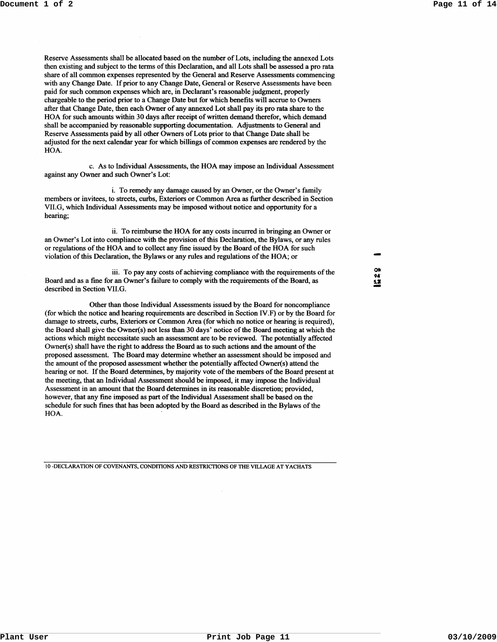Reserve Assessments shall be allocated based on the number of Lots, including the annexed Lots then existing and subject to the terms of this Declaration, and all Lots shall be assessed a pro rata share of all common expenses represented by the General and Reserve Assessments commencing with any Change Date. If prior to any Change Date, General or Reserve Assessments have been paid for such common expenses which are, in Declarant's reasonable judgment, properly chargeable to the period prior to a Change Date but for which benefits will accrue to Owners after that Change Date, then each Owner of any annexed Lot shall pay its pro rata share to the HOA for such amounts within 30 days after receipt of written demand therefor, which demand shall be accompanied by reasonable supporting documentation. Adjustments to General and Reserve Assessments paid by all other Owners of Lots prior to that Change Date shall be adjusted for the next calendar year for which billings of common expenses are rendered by the HOA.

c. As to Individual Assessments, the HOA may impose an Individual Assessment against any Owner and such Owner's Lot:

i. To remedy any damage caused by an Owner, or the Owner's family members or invitees, to streets, curbs, Exteriors or Common Area as further described in Section VII.G, which Individual Assessments may be imposed without notice and opportunity for a hearing;

ii. To reimburse the HOA for any costs incurred in bringing an Owner or an Owner's Lot into compliance with the provision of this Declaration, the Bylaws, or any rules or regulations of the HOA and to collect any fine issued by the Board of the HOA for such violation of this Declaration, the Bylaws or any rules and regulations of the HOA; or

iii. To pay any costs of achieving compliance with the requirements of the Board and as a fine for an Owner's failure to comply with the requirements of the Board, as described in Section VII.G.

Other than those Individual Assessments issued by the Board for noncompliance (for which the notice and hearing requirements are described in Section IV.F) or by the Board for damage to streets, curbs, Exteriors or Common Area (for which no notice or hearing is required), the Board shall give the Owner(s) not less than 30 days' notice of the Board meeting at which the actions which might necessitate such an assessment are to be reviewed. The potentially affected Owner(s) shall have the right to address the Board as to such actions and the amount of the proposed assessment. The Board may determine whether an assessment should be imposed and the amount of the proposed assessment whether the potentially affected Owner(s) attend the hearing or not. If the Board determines, by majority vote of the members of the Board present at the meeting, that an Individual Assessment should be imposed, it may impose the Individual Assessment in an amount that the Board determines in its reasonable discretion; provided, however, that any fme imposed as part of the Individual Assessment shall be based on the schedule for such fmes that has been adopted by the Board as described in the Bylaws of the HOA.

10 -DECLARATION OF COVENANTS, CONDITIONS AND RESTRICTIONS OF THE VILLAGE AT YACHATS

ON 9" **5,1**  -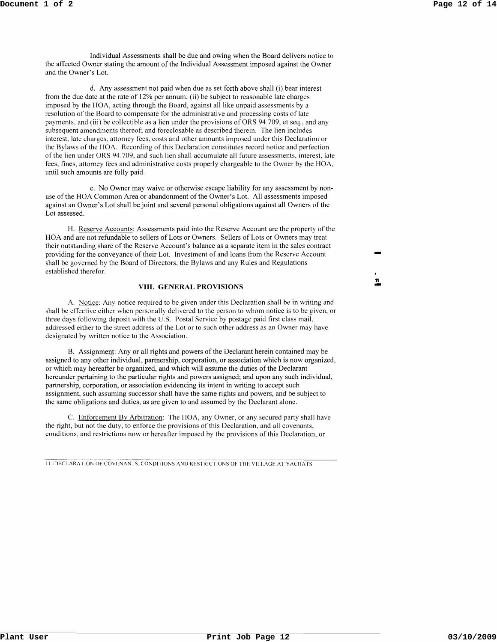Individual Assessments shall be due and owing when the Board delivers notice to the affected Owner stating the amount of the Individual Assessment imposed against the Owner and the Owner's Lot.

d. Any assessment not paid when due as set forth above shall (i) bear interest from the due date at the rate of 12% per annum; (ii) be subject to reasonable late charges imposed by the HOA, acting through the Board, against all like unpaid assessments by a resolution of the Board to compensate for the administrative and processing costs of late payments, and (iii) be collectible as a lien under the provisions of ORS 94.709, et seq., and any subsequent amendments thereof: and foreclosable as described therein. The lien includes interest, late charges, attorney fees, costs and other amounts imposed under this Declaration or the Bylaws of the HOA. Recording of this Declaration constitutes record notice and perfection of the lien under ORS 94.709, and such lien shall accumulate all future assessments, interest, late fees, fines, attorney fees and administrative costs properly chargeable to the Owner by the HOA, until such amounts are fully paid.

e. No Owner may waive or otherwise escape liability for any assessment by nonuse of the HOA Common Area or abandonment of the Owner's Lot. All assessments imposed against an Owner's Lot shall be joint and several personal obligations against all Owners of the Lot assessed.

H. Reserve Accounts: Assessments paid into the Reserve Account are the property of the HOA and are not refundable to sellers of Lots or Owners. Sellers of Lots or Owners may treat their outstanding share of the Reserve Account's balance as a separate item in the sales contract providing for the conveyance of their Lot. Investment of and loans from the Reserve Account shall be governed by the Board of Directors, the Bylaws and any Rules and Regulations established therefor.

#### **VIII. GENERAL PROVISIONS**

A. Notice: Any notice required to be given under this Declaration shall be in writing and shall be effective either when personally delivered to the person to whom notice is to be given, or three days following deposit with the U.S. Postal Service by postage paid first class maiL addressed either to the street address of the Lot or to such other address as an Owner may have designated by written notice to the Association.

B. Assignment: Any or all rights and powers of the Declarant herein contained may be assigned to any other individual, partnership, corporation, or association which is now organized, or which may hereafter be organized, and which will assume the duties of the Declarant hereunder pertaining to the particular rights and powers assigned; and upon any such individual, partnership, corporation, or association evidencing its intent in writing to accept such assignment, such assuming successor shall have the same rights and powers, and be subject to the same obligations and duties, as are given to and assumed by the Declarant alone.

C. Enforcement By Arbitration: The HOA, any Owner, or any secured party shall have the right, but not the duty, to enforce the provisions of this Declaration, and all covenants, conditions, and restrictions now or hereafter imposed by the provisions of this Declaration, or

11 -DECLARATION OF COVENANTS. CONDITIONS AND RESTRICTIONS OF THE VILLAGE AT YACHATS

11 <u>፡</u><br>=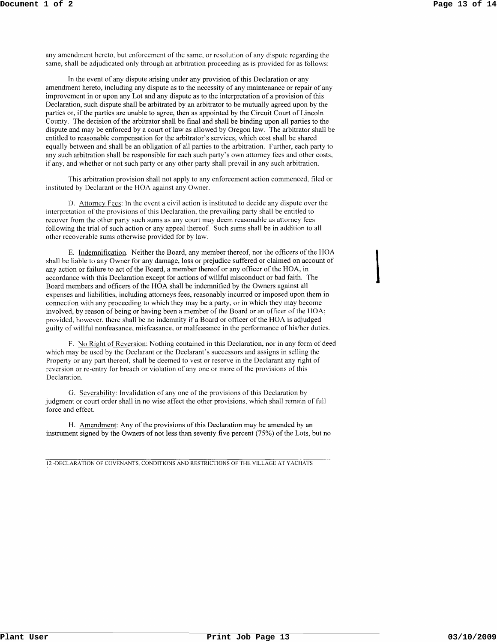$\overline{\phantom{a}}$ 

any amendment hereto. but enforcement of the same. or resolution of any dispute regarding the same, shall be adjudicated only through an arbitration proceeding as is provided for as follows:

In the event of any dispute arising under any provision of this Declaration or any amendment hereto, including any dispute as to the necessity of any maintenance or repair of any improvement in or upon any Lot and any dispute as to the interpretation of a provision of this Declaration, such dispute shall be arbitrated by an arbitrator to be mutually agreed upon by the parties or, if the parties are unable to agree, then as appointed by the Circuit Court of Lincoln County. The decision of the arbitrator shall be final and shall be binding upon all parties to the dispute and may be enforced by a court of law as allowed by Oregon law. The arbitrator shall be entitled to reasonable compensation for the arbitrator's services, which cost shall be shared equally between and shall be an obligation of all parties to the arbitration. Further, each party to any such arbitration shall be responsible for each such party's own attorney fees and other costs, if any, and whether or not such party or any other party shall prevail in any such arbitration.

This arbitration provision shall not apply to any enforcement action commenced, filed or instituted by Declarant or the BOA against any Owner.

D. Attorney Fees: In the event a civil action is instituted to decide any dispute over the interpretation of the provisions of this Declaration. the prevailing party shall be entitled to recover from the other party such sums as any court may deem reasonable as attorney fees following the trial of such action or any appeal thereof. Such sums shall be in addition to all other recoverable sums otherwise provided for by law.

E. Indemnification. Neither the Board, any member thereof, nor the officers of the HOA shall be liable to any Owner for any damage, loss or prejudice suffered or claimed on account of any action or failure to act of the Board, a member thereof or any officer of the HOA, in accordance with this Declaration except for actions of willful misconduct or bad faith. The Board members and officers of the HOA shall be indemnified by the Owners against all expenses and liabilities, including attorneys fees, reasonably incurred or imposed upon them in connection with any proceeding to which they may be a party, or in which they may become involved, by reason of being or having been a member of the Board or an officer of the HOA; provided, however, there shall be no indemnity if a Board or officer of the HOA is adjudged guilty of willful nonfeasance, misfeasance, or malfeasance in the performance of his/her duties.

F. No Right of Reversion: Nothing contained in this Declaration, nor in any form of deed which may be used by the Declarant or the Declarant's successors and assigns in selling the Property or any part thereof. shall be deemed to vest or reserve in the Declarant any right of reversion or re-entry for breach or violation of anyone or more of the provisions of this Declaration.

G. Severability: Invalidation of anyone of the provisions of this Declaration by judgment or court order shall in no wise affect the other provisions, which shall remain of full force and effect.

H. Amendment: Any of the provisions of this Declaration may be amended by an instrument signed by the Owners of not less than seventy five percent (75%) of the Lots, but no

12 -DECLARATION OF COVENANTS, CONDITIONS AND RESTRICTIONS OF THE VILLAGE AT YACHATS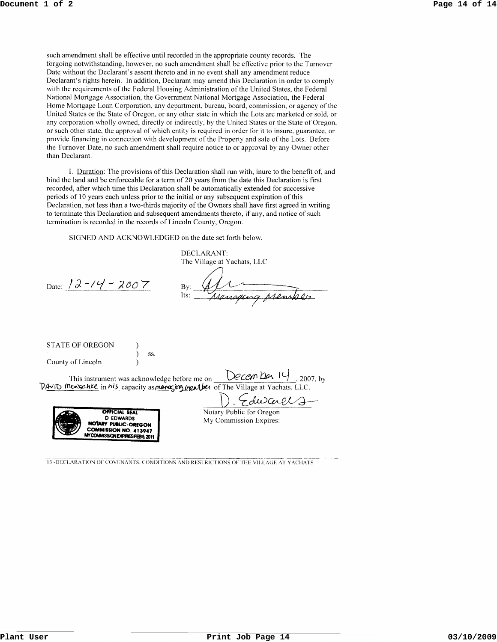such amendment shall be effective until recorded in the appropriate county records. The forgoing notwithstanding, however, no such amendment shall be effective prior to the Turnover Date without the Declarant's assent thereto and in no event shall any amendment reduce Declarant's rights herein. In addition, Declarant may amend this Declaration in order to comply with the requirements of the Federal Housing Administration of the United States, the Federal National Mortgage Association, the Government National Mortgage Association, the Federal Home Mortgage Loan Corporation, any department, bureau, board, commission, or agency of the United States or the State of Oregon, or any other state in which the Lots are marketed or sold, or any corporation wholly owned, directly or indirectly, by the United States or the State of Oregon, or such other state, the approval of which entity is required in order for it to insure, guarantee, or provide financing in connection with development of the Property and sale of the Lots. Before the Turnover Date, no such amendment shall require notice to or approval by any Owner other than Declarant.

I. Duration: The provisions of this Declaration shall run with, inure to the benefit of, and bind the land and be enforceable for a term of 20 years from the date this Declaration is first recorded, after which time this Declaration shall be automatically extended for successive periods of 10 years each unless prior to the initial or any subsequent expiration of this Declaration, not less than a two-thirds majority of the Owners shall have first agreed in writing to terminate this Declaration and subsequent amendments thereto, if any, and notice of such termination is recorded in the records of Lincoln County, Oregon.

SIGNED AND ACKNOWLEDGED on the date set forth below.

DECLARANT: The Village at Yachats, LLC

Date:  $12 - 14 - 2007$ 

Manageirg prember  $By:$ Its<sup>-</sup>

STATE OF OREGON County of Lincoln

This instrument was acknowledge before me on  $\bigcup$  CCCM  $\bigcup$  1-1. 2007, by  $\nabla A$ vi $\nabla$  monschie in his capacity as manging manther of The Village at Yachats, LLC.

ss.



D. Edward My Commission Expires:

13 -DECLARATION OF COVENANTS, CONDITIONS AND RESTRICTIONS OF THE VILLAGE AT YACHATS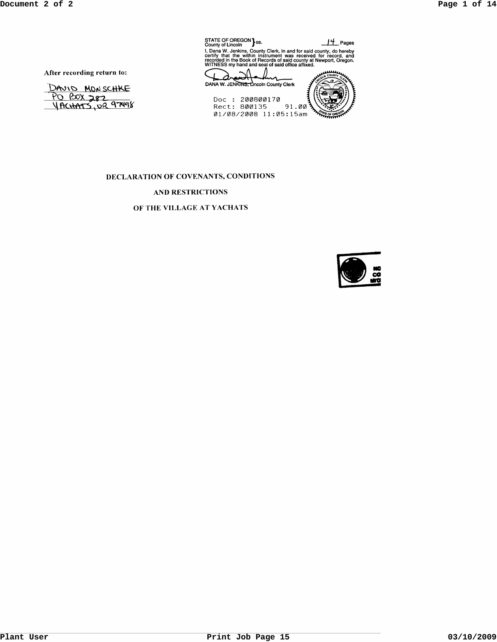| STATE OF OREGON 3s.<br>County of Lincoln                                                                                                                                                                                                                         | Pages            |  |
|------------------------------------------------------------------------------------------------------------------------------------------------------------------------------------------------------------------------------------------------------------------|------------------|--|
| I, Dana W. Jenkins, County Clerk, in and for said county, do hereby<br>certify that the within instrument was received for record, and<br>recorded in the Book of Records of said county at Newport. Oregon.<br>WITNESS my hand and seal of said office affixed. |                  |  |
|                                                                                                                                                                                                                                                                  | <b>MOLA COUL</b> |  |
| DANA W. JENKINS, Lincoln County Clerk                                                                                                                                                                                                                            |                  |  |
| วดดอดตา วด                                                                                                                                                                                                                                                       |                  |  |

Doc : 200800170<br>Rect: 800135 91.00

After recording return to:

DAVID MONSCHKE <u>PO BOX 282</u>

# DECLARATION OF COVENANTS, CONDITIONS

# AND RESTRICTIONS

## OF THE VILLAGE AT YACHATS

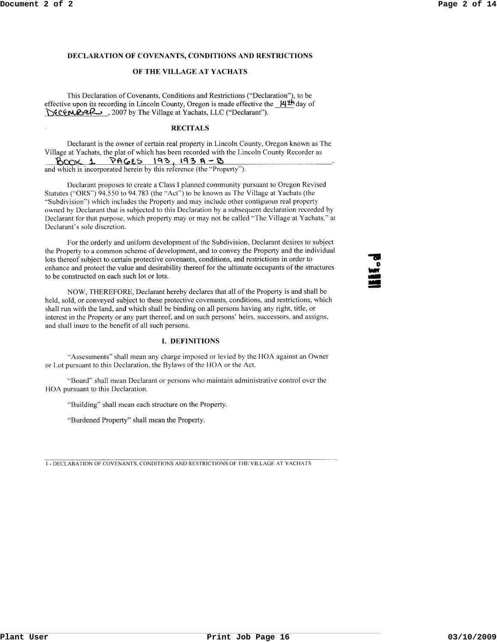### **DECLARATION OF COVENANTS, CONDITIONS AND RESTRICTIONS**

## **OF THE VILLAGE AT YACHATS**

This Declaration of Covenants, Conditions and Restrictions ("Declaration"), to be effective upon its recording in Lincoln County, Oregon is made effective the **ILf'l:!\** day of DECEMBER , 2007 by The Village at Yachats, LLC ("Declarant").

### **RECITALS**

Declarant is the owner of certain real property in Lincoln County, Oregon known as The Village at Yachats, the plat of which has been recorded with the Lincoln County Recorder as  $B$ COX 1 PAGES 193, 193 A-B and which is incorporated herein by this reference (the "Property").

Declarant proposes to create a Class I planned community pursuant to Oregon Revised Statutes ("ORS") 94.550 to 94.783 (the "Act") to be known as The Village at Yachats (the "Subdivision") which includes the Property and may include other contiguous real property owned by Declarant that is subjected to this Declaration by a subsequent declaration recorded by Declarant for that purpose, which property may or may not be called "The Village at Yachats," at Declarant's sole discretion.

For the orderly and uniform development of the Subdivision, Declarant desires to subject the Property to a common scheme of development, and to convey the Property and the individual lots thereof subject to certain protective covenants, conditions, and restrictions in order to enhance and protect the value and desirability thereof for the ultimate occupants of the structures to be constructed on each such lot or lots.

NOW, THEREFORE, Declarant hereby declares that all of the Property is and shall be held, sold, or conveyed subject to these protective covenants, conditions, and restrictions, which shall run with the land, and which shall be binding on all persons having any right, title, or interest in the Property or any part thereof, and on such persons' heirs, successors, and assigns, and shall inure to the benefit of all such persons.

### **I. DEFINITIONS**

"Assessments" shall mean any charge imposed or levied by the BOA against an Owner or Lot pursuant to this Declaration, the Bylaws of the HOA or the Act.

"Board" shall mean Declarant or persons who maintain administrative control over the HOA pursuant to this Declaration.

"Building" shall mean each structure on the Property.

"Burdened Property" shall mean the Property.

I - DECLARATION OF COVENANTS, CONDITIONS AND RESTRICTIONS OF THE VILLAGE AT YACHATS

... D .. 0<br>الألاد<br>الألاد **149**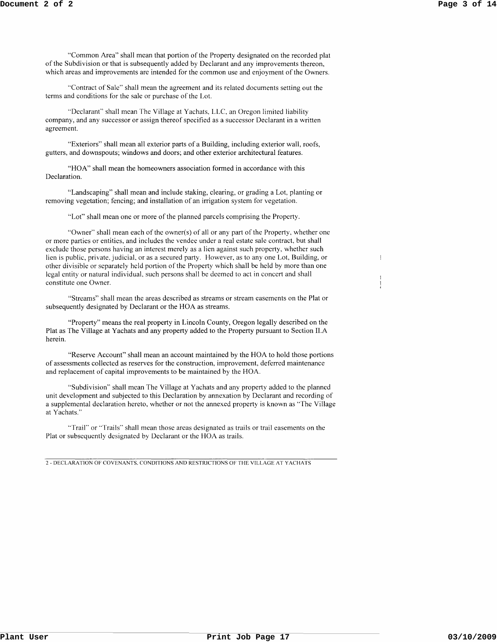$\mathbb{I}$ 

"Common Area" shall mean that portion of the Property designated on the recorded plat of the Subdivision or that is subsequently added by Declarant and any improvements thereon, which areas and improvements are intended for the common use and enjoyment of the Owners.

"Contract of Sale" shall mean the agreement and its related documents setting out the terms and conditions for the sale or purchase of the Lot.

"Declaranf' shall mean The Village at Yachats, LLC, an Oregon limited liability company, and any successor or assign thereof specified as a successor Declarant in a written agreement.

"Exteriors" shall mean all exterior parts of a Building, including exterior wall, roofs, gutters, and downspouts; windows and doors; and other exterior architectural features.

"HOA" shall mean the homeowners association formed in accordance with this Declaration.

"Landscaping" shall mean and include staking, clearing, or grading a Lot, planting or removing vegetation; fencing; and installation of an irrigation system for vegetation.

"Lot" shall mean one or more of the planned parcels comprising the Property.

"Owner" shall mean each of the owner(s) of all or any part of the Property, whether one or more parties or entities, and includes the vendee under a real estate sale contract, but shall exclude those persons having an interest merely as a lien against such property, whether such lien is public, private, judicial, or as a secured party. However, as to any one Lot, Building, or other divisible or separately held portion of the Property which shall be held by more than one legal entity or natural individual, such persons shall be deemed to act in concert and shall constitute one Owner.

"Streams" shall mean the areas described as streams or stream easements on the Plat or subsequently designated by Declarant or the HOA as streams.

"Property" means the real property in Lincoln County, Oregon legally described on the Plat as The Village at Yachats and any property added to the Property pursuant to Section ILA herein.

"Reserve Account" shall mean an account maintained by the HOA to hold those portions of assessments collected as reserves for the construction, improvement, deferred maintenance and replacement of capital improvements to be maintained by the HOA.

"Subdivision" shall mean The Village at Yachats and any property added to the planned unit development and subjected to this Declaration by annexation by Declarant and recording of a supplemental declaration hereto, whether or not the annexed property is known as "The Village at Yachats."

"Trail" or "Trails" shall mean those areas designated as trails or trail easements on the Plat or subsequently designated by Declarant or the HOA as trails.

2 - DECLARATION OF COVENANTS. CONDITIONS AND RESTRICTIONS OF THE VILLAGE AT YACHATS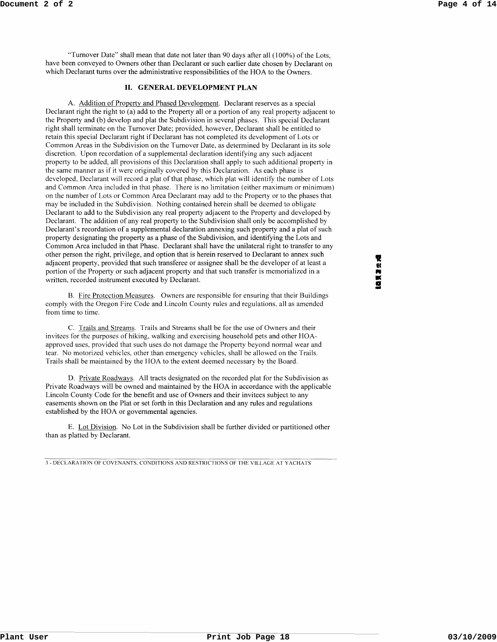"Turnover Date" shall mean that date not later than 90 days after all (100%) of the Lots, have been conveyed to Owners other than Declarant or such earlier date chosen by Declarant on which Declarant turns over the administrative responsibilities of the HOA to the Owners.

### **II. GENERAL DEVELOPMENT PLAN**

A. Addition of Property and Phased Development. Declarant reserves as a special Declarant right the right to (a) add to the Property all or a portion of any real property adjacent to the Property and (b) develop and plat the Subdivision in several phases. This special Declarant right shall terminate on the Turnover Date; provided, however, Declarant shall be entitled to retain this special Declarant right if Declarant has not completed its development of Lots or Common Areas in the Subdivision on the Turnover Date, as determined by Declarant in its sole discretion. Upon recordation of a supplemental declaration identifying any such adjacent property to be added, all provisions of this Declaration shall apply to such additional property in the same manner as if it were originally covered by this Declaration. As each phase is developed, Declarant will record a plat of that phase, which plat will identify the number of Lots and Common Area included in that phase. There is no limitation (either maximum or minimum) on the number of Lots or Common Area Declarant may add to the Property or to the phases that may be included in the Subdivision. Nothing contained herein shall be deemed to obligate Declarant to add to the Subdivision any real property adjacent to the Property and developed by Declarant. The addition of any real property to the Subdivision shall only be accomplished by Declarant's recordation of a supplemental declaration annexing such property and a plat of such property designating the property as a phase of the Subdivision, and identifying the Lots and Common Area included in that Phase. Declarant shall have the unilateral right to transfer to any other person the right, privilege, and option that is herein reserved to Declarant to annex such adjacent property, provided that such transferee or assignee shall be the developer of at least a portion of the Property or such adjacent property and that such transfer is memorialized in a written, recorded instrument executed by Declarant.

B. Fire Protection Measures. Owners are responsible for ensuring that their Buildings comply with the Oregon Fire Code and Lincoln County rules and regulations, all as amended from time to time.

C. Trails and Streams. Trails and Streams shall be for the use of Owners and their invitees for the purposes of hiking, walking and exercising household pets and other HOAapproved uses, provided that such uses do not damage the Property beyond normal wear and tear. No motorized vehicles, other than emergency vehicles, shall be allowed on the Trails. Trails shall be maintained by the HOA to the extent deemed necessary by the Board.

D. Private Roadways. All tracts designated on the recorded plat for the Subdivision as Private Roadways will be owned and maintained by the HOA in accordance with the applicable Lincoln County Code for the benefit and use of Owners and their invitees subject to any easements shown on the Plat or set forth in this Declaration and any rules and regulations established by the HOA or governmental agencies.

E. Lot Division. No Lot in the Subdivision shall be further divided or partitioned other than as platted by Declarant.

3 - DECLARATION OF COVENANTS. CONDITIONS AND RESTRICTIONS OF THE VILLAGE AT YACHATS

**THE REAL OF**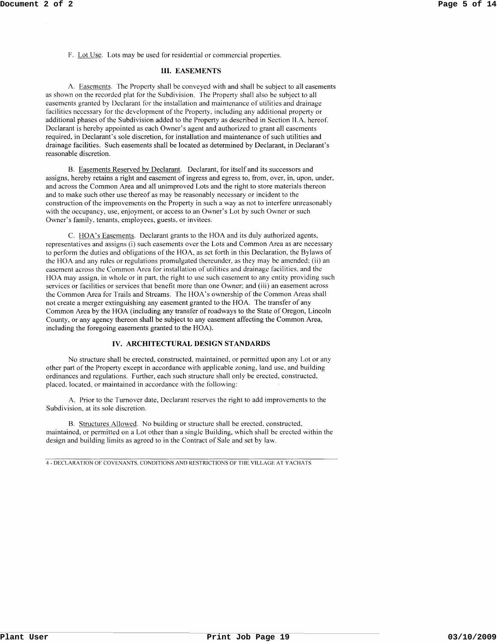F. Lot Use. Lots may be used for residential or commercial properties.

### **III. EASEMENTS**

A. Easements. The Property shall be conveyed with and shall be subject to all easements as shown on the recorded plat for the Subdivision. The Property shall also be subject to all easements granted by Declarant for the installation and maintenance of utilities and drainage facilities necessary for the development of the Property, including any additional property or additional phases of the Subdivision added to the Property as described in Section II.A, hereof. Declarant is hereby appointed as each Owner's agent and authorized to grant all easements required, in Declarant's sole discretion, for installation and maintenance of such utilities and drainage facilities. Such easements shall be located as determined by Declarant, in Declarant's reasonable discretion.

B. Easements Reserved by Declarant. Declarant, for itself and its successors and assigns, hereby retains a right and easement of ingress and egress to, from, over, in, upon, under, and across the Common Area and all unimproved Lots and the right to store materials thereon and to make such other use thereof as may be reasonably necessary or incident to the construction of the improvements on the Property in such a way as not to interfere unreasonably with the occupancy, use, enjoyment, or access to an Owner's Lot by such Owner or such Owner's family, tenants, employees, guests, or invitees.

C. HOA's Easements. Declarant grants to the HOA and its duly authorized agents, representatives and assigns (i) such easements over the Lots and Common Area as are necessary to perform the duties and obligations of the HOA, as set forth in this Declaration, the Bylaws of the HOA and any rules or regulations promulgated thereunder, as they may be amended; (ii) an easement across the Common Area for installation of utilities and drainage facilities, and the HOA may assign, in whole or in part, the right to use such easement to any entity providing such services or facilities or services that benefit more than one Owner; and (iii) an easement across the Common Area for Trails and Streams. The HOA's ownership of the Common Areas shall not create a merger extinguishing any easement granted to the HOA. The transfer of any Common Area by the HOA (including any transfer of roadways to the State of Oregon, Lincoln County, or any agency thereon shall be subject to any easement affecting the Common Area, including the foregoing easements granted to the HOA).

## **IV. ARCHITECTURAL DESIGN STANDARDS**

No structure shall be erected, constructed, maintained, or permitted upon any Lot or any other part of the Property except in accordance with applicable zoning, land use, and building ordinances and regulations. Further, each such structure shall only be erected, constructed, placed, located, or maintained in accordance with the following:

A. Prior to the Turnover date, Declarant reserves the right to add improvements to the Subdivision, at its sole discretion.

B. Structures Allowed. No building or structure shall be erected, constructed, maintained, or permitted on a Lot other than a single Building, which shall be erected within the design and building limits as agreed to in the Contract of Sale and set by law.

4 - DECLARATION OF COVENANTS. CONDITIONS AND RESTRICTIONS OF THE VILLAGE AT YACHATS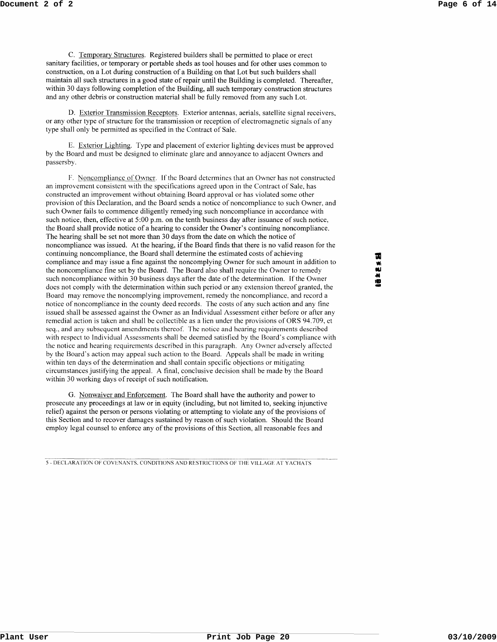C. Temporary Structures. Registered builders shall be permitted to place or erect sanitary facilities, or temporary or portable sheds as tool houses and for other uses common to construction, on a Lot during construction of a Building on that Lot but such builders shall maintain all such structures in a good state of repair until the Building is completed. Thereafter, within 30 days following completion of the Building, all such temporary construction structures and any other debris or construction material shall be fully removed from any such Lot.

D. Exterior Transmission Receptors. Exterior antennas, aerials, satellite signal receivers, or any other type of structure for the transmission or reception of electromagnetic signals of any type shall only be permitted as specified in the Contract of Sale.

E. Exterior Lighting. Type and placement of exterior lighting devices must be approved by the Board and must be designed to eliminate glare and annoyance to adjacent Owners and passersby.

F. Noncompliance of Owner. If the Board determines that an Owner has not constructed an improvement consistent with the specifications agreed upon in the Contract of Sale, has constructed an improvement without obtaining Board approval or has violated some other provision of this Declaration, and the Board sends a notice of noncompliance to such Owner, and such Owner fails to commence diligently remedying such noncompliance in accordance with such notice, then, effective at 5:00 p.m. on the tenth business day after issuance of such notice, the Board shall provide notice of a hearing to consider the Owner's continuing noncompliance. The hearing shall be set not more than 30 days from the date on which the notice of noncompliance was issued. At the hearing, if the Board finds that there is no valid reason for the continuing noncompliance, the Board shall determine the estimated costs of achieving compliance and may issue a fine against the noncomplying Owner for such amount in addition to the noncompliance fine set by the Board. The Board also shall require the Owner to remedy such noncompliance within 30 business days after the date of the determination. If the Owner does not comply with the determination within such period or any extension thereof granted, the Board may remove the noncomplying improvement, remedy the noncompliance, and record a notice of noncompliance in the county deed records. The costs of any such action and any tine issued shall be assessed against the Owner as an Individual Assessment either before or after any remedial action is taken and shall be collectible as a lien under the provisions of ORS 94.709, et seq., and any subsequent amendments thereof. The notice and hearing requirements described with respect to Individual Assessments shall be deemed satisfied by the Board's compliance with the notice and hearing requirements described in this paragraph. Any Owner adversely affected by the Board's action may appeal such action to the Board. Appeals shall be made in writing within ten days of the determination and shall contain specific objections or mitigating circumstances justifying the appeal. A final, conclusive decision shall be made by the Board within 30 working days of receipt of such notification.

G. Nonwaiver and Enforcement. The Board shall have the authority and power to prosecute any proceedings at law or in equity (including, but not limited to, seeking injunctive relief) against the person or persons violating or attempting to violate any of the provisions of this Section and to recover damages sustained by reason of such violation. Should the Board employ legal counsel to enforce any of the provisions of this Section, all reasonable fees and

5 - DECLARATION OF COVENANTS, CONDITIONS AND RESTRICTIONS OF THE VILLAGE AT YACHATS

व्य  $\mathbf{B} \leq \mathbf{S}$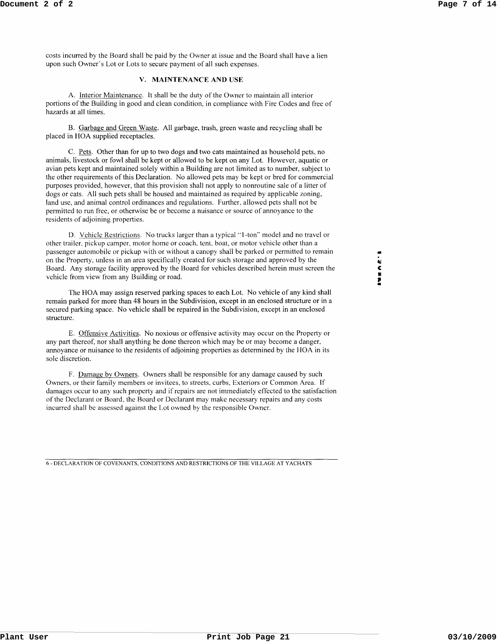costs incurred by the Board shall be paid by the Owner at issue and the Board shall have a lien upon such Owner's Lot or Lots to secure payment of all such expenses.

## v. MAINTENANCE AND USE

A. Interior Maintenance. It shall be the duty of the Owner to maintain all interior portions of the Building in good and clean condition, in compliance with Fire Codes and free of hazards at all times.

B. Garbage and Green Waste. All garbage, trash, green waste and recycling shall be placed in HOA supplied receptacles.

C. Pets. Other than for up to two dogs and two cats maintained as household pets, no animals, livestock or fowl shall be kept or allowed to be kept on any Lot. However, aquatic or avian pets kept and maintained solely within a Building are not limited as to number, subject to the other requirements of this Declaration. No allowed pets may be kept or bred for commercial purposes provided, however, that this provision shall not apply to nonroutine sale of a litter of dogs or cats. All such pets shall be housed and maintained as required by applicable zoning, land use, and animal control ordinances and regulations. Further, allowed pets shall not be permitted to run free, or otherwise be or become a nuisance or source of annoyance to the residents of adjoining properties.

D. Vehicle Restrictions. No trucks larger than a typical "I-ton" model and no travel or other trailer, pickup camper, motor home or coach, tent, boat, or motor vehicle other than a passenger automobile or pickup with or without a canopy shall be parked or permitted to remain on the Property, unless in an area specifically created for such storage and approved by the Board. Any storage facility approved by the Board for vehicles described herein must screen the vehicle from view from any Building or road.

The HOA may assign reserved parking spaces to each Lot. No vehicle of any kind shall remain parked for more than 48 hours in the Subdivision, except in an enclosed structure or in a secured parking space. No vehicle shall be repaired in the Subdivision, except in an enclosed structure.

E. Offensive Activities. No noxious or offensive activity may occur on the Property or any part thereof, nor shall anything be done thereon which may be or may become a danger, annoyance or nuisance to the residents of adjoining properties as determined by the HOA in its sole discretion.

F. Damage by Owners. Owners shall be responsible for any damage caused by such Owners, or their family members or invitees, to streets, curbs, Exteriors or Common Area. If damages occur to any such property and if repairs are not immediately effected to the satisfaction of the Declarant or Board, the Board or Declarant may make necessary repairs and any costs incurred shall be assessed against the Lot owned by the responsible Owner.

6 - DECLARATION OF COVENANTS, CONDITIONS AND RESTRICTIONS OF THE VILLAGE AT YACHATS

• " C N 7"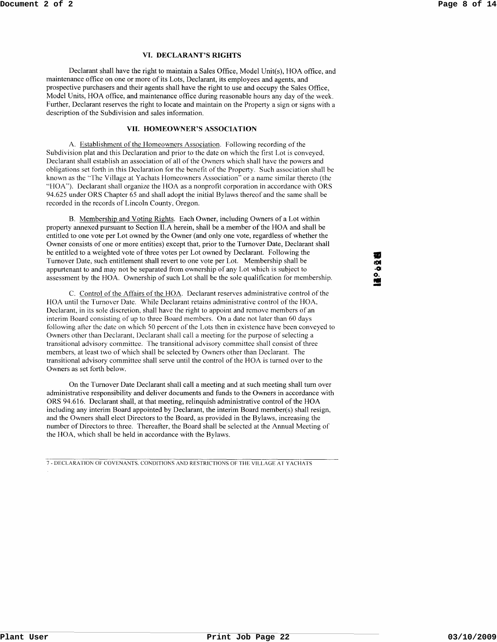#### **VI. DECLARANT'S RIGHTS**

Declarant shall have the right to maintain a Sales Office, Model Unit(s), HOA office, and maintenance office on one or more of its Lots, Declarant, its employees and agents, and prospective purchasers and their agents shall have the right to use and occupy the Sales Office, Model Units, HOA office, and maintenance office during reasonable hours any day of the week. Further, Declarant reserves the right to locate and maintain on the Property a sign or signs with a description of the Subdivision and sales information.

## **VII. HOMEOWNER'S ASSOCIATION**

A. Establishment of the Homeowners Association. Following recording of the Subdivision plat and this Declaration and prior to the date on which the first Lot is conveyed, Declarant shall establish an association of all of the Owners which shall have the powers and obligations set forth in this Declaration for the benefit of the Property. Such association shall be known as the "The Village at Yachats Homeowners Association" or a name similar thereto (the "HOA"). Declarant shall organize the HOA as a nonprofit corporation in accordance with ORS 94.625 under ORS Chapter 65 and shall adopt the initial Bylaws thereof and the same shall be recorded in the records of Lincoln County, Oregon.

B. Membership and Voting Rights. Each Owner, including Owners of a Lot within property annexed pursuant to Section II.A herein, shall be a member of the HOA and shall be entitled to one vote per Lot owned by the Owner (and only one vote, regardless of whether the Owner consists of one or more entities) except that, prior to the Turnover Date, Declarant shall be entitled to a weighted vote of three votes per Lot owned by Declarant. Following the Turnover Date, such entitlement shall revert to one vote per Lot. Membership shall be appurtenant to and may not be separated from ownership of any Lot which is subject to assessment by the HOA. Ownership of such Lot shall be the sole qualification for membership.

C. Control of the Affairs of the HOA. Declarant reserves administrative control of the HOA until the Turnover Date. While Declarant retains administrative control of the HOA, Declarant, in its sole discretion, shall have the right to appoint and remove members of an interim Board consisting of up to three Board members. On a date not later than 60 days following after the date on which 50 percent of the Lots then in existence have been conveyed to Owners other than Declarant, Declarant shall call a meeting for the purpose of selecting a transitional advisory committee. The transitional advisory committee shall consist of three members, at least two of which shall be selected by Owners other than Declarant. The transitional advisory committee shall serve until the control of the HOA is turned over to the Owners as set forth below.

On the Turnover Date Declarant shall call a meeting and at such meeting shall tum over administrative responsibility and deliver documents and funds to the Owners in accordance with ORS 94.616. Declarant shall, at that meeting, relinquish administrative control of the HOA including any interim Board appointed by Declarant, the interim Board member(s) shall resign, and the Owners shall elect Directors to the Board, as provided in the Bylaws, increasing the number of Directors to three. Thereafter, the Board shall be selected at the Annual Meeting of the HOA, which shall be held in accordance with the Bylaws.

7 - DECLARATION OF COVENANTS. CONDITIONS AND RESTRICTIONS OF TilE VILLAGE AT YACHATS

• mil **·01 o.**  .. -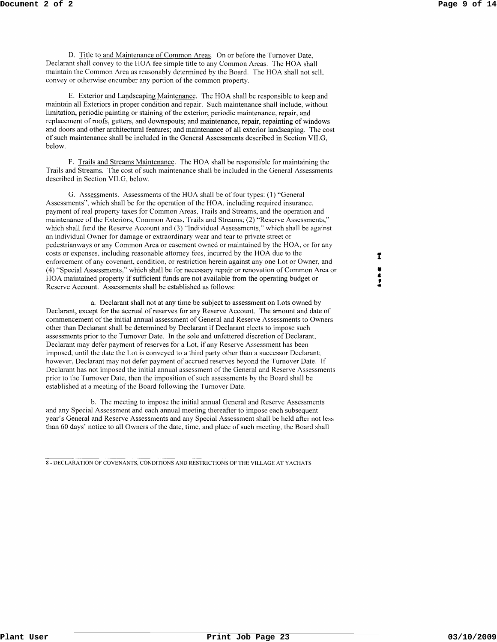D. Title to and Maintenance of Common Areas. On or before the Turnover Date, Declarant shall convey to the HOA fee simple title to any Common Areas. The HOA shall maintain the Common Area as reasonably determined by the Board. The HOA shall not sell, convey or otherwise encumber any portion of the common property.

E. Exterior and Landscaping Maintenance. The HOA shall be responsible to keep and maintain all Exteriors in proper condition and repair. Such maintenance shall include, without limitation, periodic painting or staining of the exterior; periodic maintenance, repair, and replacement of roofs, gutters, and downspouts; and maintenance, repair, repainting of windows and doors and other architectural features; and maintenance of all exterior landscaping. The cost of such maintenance shall be included in the General Assessments described in Section VII.G, below.

F. Trails and Streams Maintenance. The HOA shall be responsible for maintaining the Trails and Streams. The cost of such maintenance shall be included in the General Assessments described in Section VII.G, below.

G. Assessments. Assessments of the HOA shall be of four types: (1) "General Assessments", which shall be for the operation of the HOA, including required insurance, payment of real property taxes for Common Areas, Trails and Streams, and the operation and maintenance of the Exteriors, Common Areas, Trails and Streams; (2) "Reserve Assessments," which shall fund the Reserve Account and (3) "Individual Assessments," which shall be against an individual Owner for damage or extraordinary wear and tear to private street or pedestrianways or any Common Area or easement owned or maintained by the HOA, or for any costs or expenses, including reasonable attorney fees, incurred by the HOA due to the enforcement of any covenant, condition, or restriction herein against anyone Lot or Owner, and (4) "Special Assessments," which shall be for necessary repair or renovation of Common Area or HOA maintained property if sufficient funds are not available from the operating budget or Reserve Account. Assessments shall be established as follows:

a. Declarant shall not at any time be subject to assessment on Lots owned by Declarant, except for the accrual of reserves for any Reserve Account. The amount and date of commencement of the initial annual assessment of General and Reserve Assessments to Owners other than Declarant shall be determined by Declarant if Declarant elects to impose such assessments prior to the Turnover Date. In the sole and unfettered discretion of Declarant, Declarant may defer payment of reserves for a Lot, if any Reserve Assessment has been imposed, until the date the Lot is conveyed to a third party other than a successor Declarant; however, Declarant may not defer payment of accrued reserves beyond the Turnover Date. If Declarant has not imposed the initial annual assessment of the General and Reserve Assessments prior to the Turnover Date, then the imposition of such assessments by the Board shall be established at a meeting of the Board following the Turnover Date.

b. The meeting to impose the initial annual General and Reserve Assessments and any Special Assessment and each annual meeting thereafter to impose each subsequent year's General and Reserve Assessments and any Special Assessment shall be held after not less than 60 days' notice to all Owners of the date, time, and place of such meeting, the Board shall

8 - DECLARATION OF COVENANTS, CONDITIONS AND RESTRICTIONS OF THE VILLAGE AT Y ACHA TS

 $\mathbf{r}$ • • , •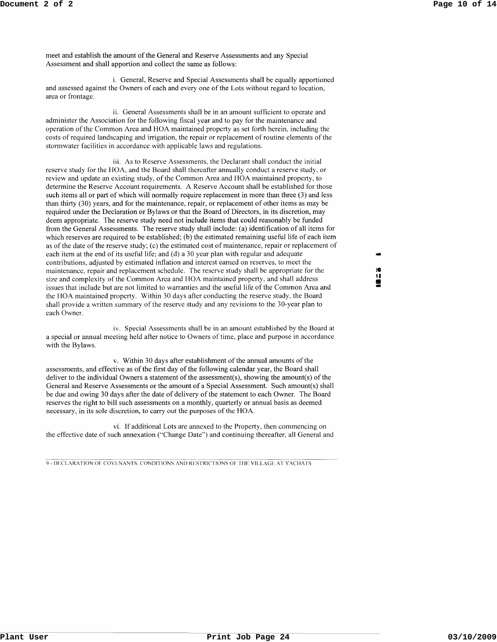meet and establish the amount of the General and Reserve Assessments and any Special Assessment and shall apportion and collect the same as follows:

i. General, Reserve and Special Assessments shall be equally apportioned and assessed against the Owners of each and everyone of the Lots without regard to location, area or frontage.

ii. General Assessments shall be in an amount sufficient to operate and administer the Association for the following fiscal year and to pay for the maintenance and operation of the Common Area and HOA maintained property as set forth herein, including the costs of required landscaping and irrigation, the repair or replacement of routine elements of the stormwater facilities in accordance with applicable laws and regulations.

iii. As to Reserve Assessments, the Declarant shall conduct the initial reserve study for the HOA, and the Board shall thereafter annually conduct a reserve study, or review and update an existing study, of the Common Area and HOA maintained property, to determine the Reserve Account requirements. A Reserve Account shall be established for those such items all or part of which will normally require replacement in more than three (3) and less than thirty (30) years, and for the maintenance, repair, or replacement of other items as may be required under the Declaration or Bylaws or that the Board of Directors, in its discretion, may deem appropriate. The reserve study need not include items that could reasonably be funded from the General Assessments. The reserve study shall include: (a) identification of all items for which reserves are required to be established; (b) the estimated remaining useful life of each item as of the date of the reserve study; (c) the estimated cost of maintenance, repair or replacement of each item at the end of its useful life; and (d) a 30 year plan with regular and adequate contributions, adjusted by estimated inflation and interest earned on reserves, to meet the maintenance, repair and replacement schedule. The reserve study shall be appropriate for the size and complexity of the Common Area and HOA maintained property, and shall address issues that include but are not limited to warranties and the useful life of the Common Area and the BOA maintained property. Within 30 days after conducting the reserve study, the Board shall provide a written summary of the reserve study and any revisions to the 30-year plan to each Owner.

iv. Special Assessments shall be in an amount established by the Board at a special or annual meeting held after notice to Owners of time, place and purpose in accordance with the Bylaws.

v. Within 30 days after establishment of the annual amounts of the assessments, and effective as of the first day of the following calendar year, the Board shall deliver to the individual Owners a statement of the assessment(s), showing the amount(s) of the General and Reserve Assessments or the amount of a Special Assessment. Such amount(s) shall be due and owing 30 days after the date of delivery of the statement to each Owner. The Board reserves the right to bill such assessments on a monthly, quarterly or annual basis as deemed necessary, in its sole discretion, to carry out the purposes of the HOA.

vi. If additional Lots are annexed to the Property, then commencing on the effective date of such annexation ("Change Date") and continuing thereafter, all General and

9 - DECLARATION OF COVENANTS. CONDITIONS AND RESTRICTIONS OF THE VILLAGE AT YACHATS

- :e u • -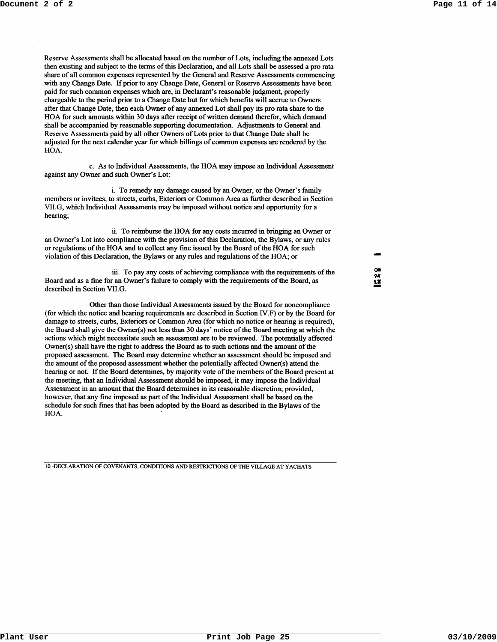Reserve Assessments shall be allocated based on the number of Lots, including the annexed Lots then existing and subject to the terms of this Declaration, and all Lots shall be assessed a pro rata share of all common expenses represented by the General and Reserve Assessments commencing with any Change Date. If prior to any Change Date, General or Reserve Assessments have been paid for such common expenses which are, in Declarant's reasonable judgment, properly chargeable to the period prior to a Change Date but for which benefits will accrue to Owners after that Change Date, then each Owner of any annexed Lot shall pay its pro rata share to the HOA for such amounts within 30 days after receipt of written demand therefor, which demand shall be accompanied by reasonable supporting documentation. Adjustments to General and Reserve Assessments paid by all other Owners of Lots prior to that Change Date shall be adjusted for the next calendar year for which billings of common expenses are rendered by the HOA.

c. As to Individual Assessments, the HOA may impose an Individual Assessment against any Owner and such Owner's Lot:

i. To remedy any damage caused by an Owner, or the Owner's family members or invitees, to streets, curbs, Exteriors or Common Area as further described in Section VII.G, which Individual Assessments may be imposed without notice and opportunity for a hearing;

ii. To reimburse the HOA for any costs incurred in bringing an Owner or an Owner's Lot into compliance with the provision of this Declaration, the Bylaws, or any rules or regulations of the HOA and to collect any fine issued by the Board of the HOA for such violation of this Declaration, the Bylaws or any rules and regulations of the HOA; or

iii. To pay any costs of achieving compliance with the requirements of the Board and as a fine for an Owner's failure to comply with the requirements of the Board, as described in Section VII.G.

Other than those Individual Assessments issued by the Board for noncompliance (for which the notice and hearing requirements are described in Section IV.F) or by the Board for damage to streets, curbs, Exteriors or Common Area (for which no notice or hearing is required), the Board shall give the Owner(s) not less than 30 days' notice of the Board meeting at which the actions which might necessitate such an assessment are to be reviewed. The potentially affected Owner(s) shall have the right to address the Board as to such actions and the amount of the proposed assessment. The Board may determine whether an assessment should be imposed and the amount of the proposed assessment whether the potentially affected Owner(s) attend the hearing or not. If the Board determines, by majority vote of the members of the Board present at the meeting, that an Individual Assessment should be imposed, it may impose the Individual Assessment in an amount that the Board determines in its reasonable discretion; provided, however, that any fme imposed as part of the Individual Assessment shall be based on the schedule for such fmes that has been adopted by the Board as described in the Bylaws of the HOA.

10 -DECLARATION OF COVENANTS, CONDITIONS AND RESTRICTIONS OF THE VILLAGE AT YACHATS

ON 9" **5,1**  -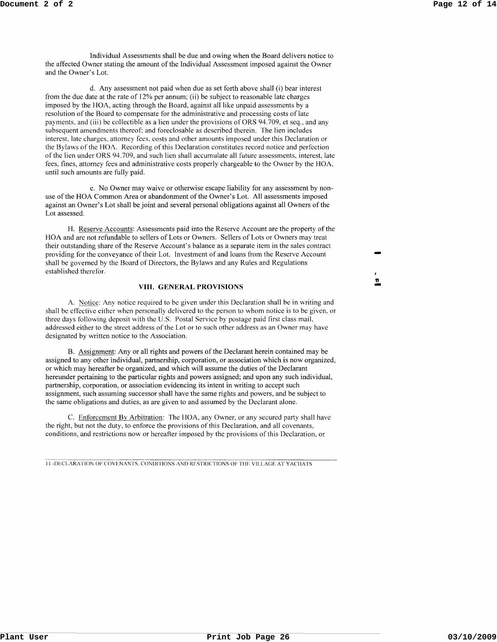Individual Assessments shall be due and owing when the Board delivers notice to the affected Owner stating the amount of the Individual Assessment imposed against the Owner and the Owner's Lot.

d. Any assessment not paid when due as set forth above shall (i) bear interest from the due date at the rate of 12% per annum; (ii) be subject to reasonable late charges imposed by the HOA, acting through the Board, against all like unpaid assessments by a resolution of the Board to compensate for the administrative and processing costs of late payments, and (iii) be collectible as a lien under the provisions of ORS 94.709, et seq., and any subsequent amendments thereof: and foreclosable as described therein. The lien includes interest, late charges, attorney fees, costs and other amounts imposed under this Declaration or the Bylaws of the HOA. Recording of this Declaration constitutes record notice and perfection of the lien under ORS 94.709, and such lien shall accumulate all future assessments, interest, late fees, fines, attorney fees and administrative costs properly chargeable to the Owner by the HOA, until such amounts are fully paid.

e. No Owner may waive or otherwise escape liability for any assessment by nonuse of the HOA Common Area or abandonment of the Owner's Lot. All assessments imposed against an Owner's Lot shall be joint and several personal obligations against all Owners of the Lot assessed.

H. Reserve Accounts: Assessments paid into the Reserve Account are the property of the HOA and are not refundable to sellers of Lots or Owners. Sellers of Lots or Owners may treat their outstanding share of the Reserve Account's balance as a separate item in the sales contract providing for the conveyance of their Lot. Investment of and loans from the Reserve Account shall be governed by the Board of Directors, the Bylaws and any Rules and Regulations established therefor.

### **VIII. GENERAL PROVISIONS**

A. Notice: Any notice required to be given under this Declaration shall be in writing and shall be effective either when personally delivered to the person to whom notice is to be given, or three days following deposit with the U.S. Postal Service by postage paid first class maiL addressed either to the street address of the Lot or to such other address as an Owner may have designated by written notice to the Association.

B. Assignment: Any or all rights and powers of the Declarant herein contained may be assigned to any other individual, partnership, corporation, or association which is now organized, or which may hereafter be organized, and which will assume the duties of the Declarant hereunder pertaining to the particular rights and powers assigned; and upon any such individual, partnership, corporation, or association evidencing its intent in writing to accept such assignment, such assuming successor shall have the same rights and powers, and be subject to the same obligations and duties, as are given to and assumed by the Declarant alone.

C. Enforcement By Arbitration: The HOA, any Owner, or any secured party shall have the right, but not the duty, to enforce the provisions of this Declaration, and all covenants, conditions, and restrictions now or hereafter imposed by the provisions of this Declaration, or

11 -DECLARATION OF COVENANTS. CONDITIONS AND RESTRICTIONS OF THE VILLAGE AT YACHATS

11 <u>፡</u><br>=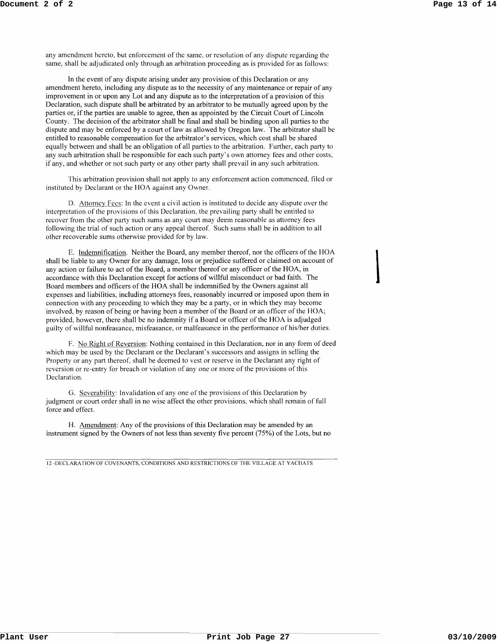$\overline{\phantom{a}}$ 

any amendment hereto. but enforcement of the same. or resolution of any dispute regarding the same, shall be adjudicated only through an arbitration proceeding as is provided for as follows:

In the event of any dispute arising under any provision of this Declaration or any amendment hereto, including any dispute as to the necessity of any maintenance or repair of any improvement in or upon any Lot and any dispute as to the interpretation of a provision of this Declaration, such dispute shall be arbitrated by an arbitrator to be mutually agreed upon by the parties or, if the parties are unable to agree, then as appointed by the Circuit Court of Lincoln County. The decision of the arbitrator shall be final and shall be binding upon all parties to the dispute and may be enforced by a court of law as allowed by Oregon law. The arbitrator shall be entitled to reasonable compensation for the arbitrator's services, which cost shall be shared equally between and shall be an obligation of all parties to the arbitration. Further, each party to any such arbitration shall be responsible for each such party's own attorney fees and other costs, if any, and whether or not such party or any other party shall prevail in any such arbitration.

This arbitration provision shall not apply to any enforcement action commenced, filed or instituted by Declarant or the BOA against any Owner.

D. Attorney Fees: In the event a civil action is instituted to decide any dispute over the interpretation of the provisions of this Declaration. the prevailing party shall be entitled to recover from the other party such sums as any court may deem reasonable as attorney fees following the trial of such action or any appeal thereof. Such sums shall be in addition to all other recoverable sums otherwise provided for by law.

E. Indemnification. Neither the Board, any member thereof, nor the officers of the HOA shall be liable to any Owner for any damage, loss or prejudice suffered or claimed on account of any action or failure to act of the Board, a member thereof or any officer of the HOA, in accordance with this Declaration except for actions of willful misconduct or bad faith. The Board members and officers of the HOA shall be indemnified by the Owners against all expenses and liabilities, including attorneys fees, reasonably incurred or imposed upon them in connection with any proceeding to which they may be a party, or in which they may become involved, by reason of being or having been a member of the Board or an officer of the HOA; provided, however, there shall be no indemnity if a Board or officer of the HOA is adjudged guilty of willful nonfeasance, misfeasance, or malfeasance in the performance of his/her duties.

F. No Right of Reversion: Nothing contained in this Declaration, nor in any form of deed which may be used by the Declarant or the Declarant's successors and assigns in selling the Property or any part thereof. shall be deemed to vest or reserve in the Declarant any right of reversion or re-entry for breach or violation of anyone or more of the provisions of this Declaration.

G. Severability: Invalidation of anyone of the provisions of this Declaration by judgment or court order shall in no wise affect the other provisions, which shall remain of full force and effect.

H. Amendment: Any of the provisions of this Declaration may be amended by an instrument signed by the Owners of not less than seventy five percent (75%) of the Lots, but no

12 -DECLARATION OF COVENANTS, CONDITIONS AND RESTRICTIONS OF THE VILLAGE AT YACHATS